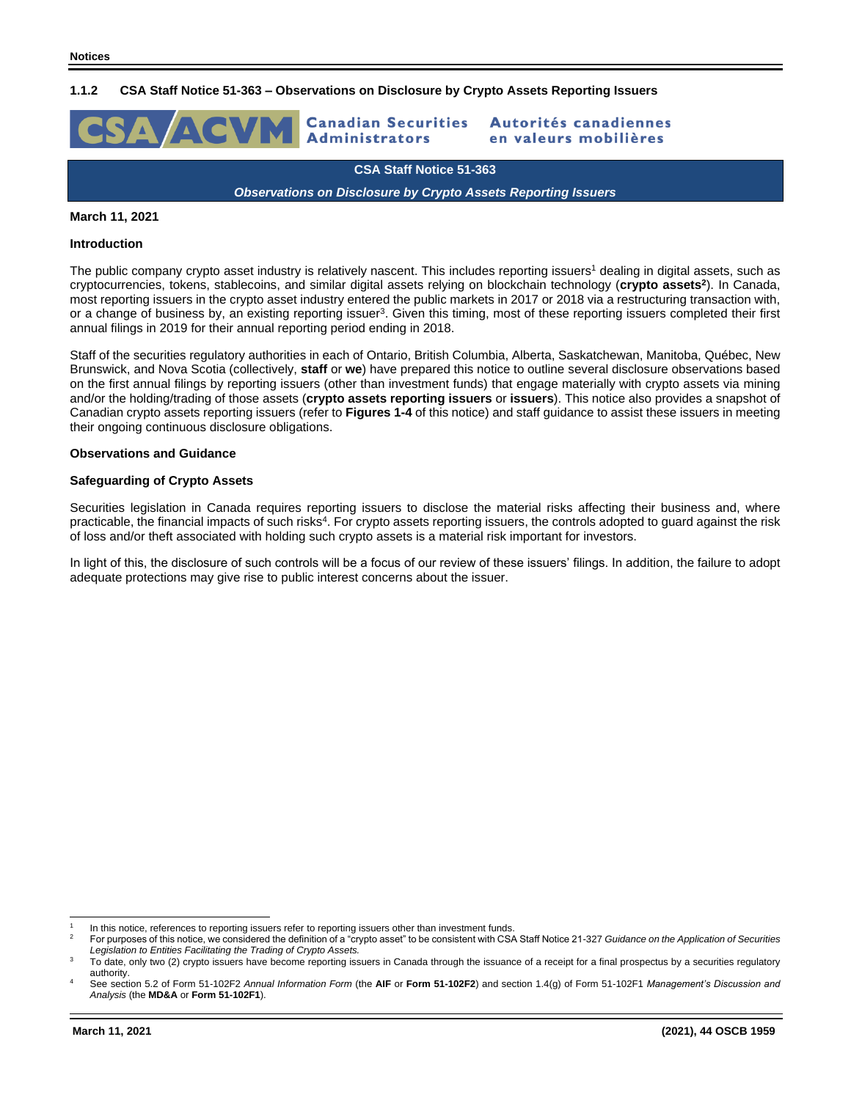## **1.1.2 CSA Staff Notice 51-363 – Observations on Disclosure by Crypto Assets Reporting Issuers**



**CSA Staff Notice 51-363**

*Observations on Disclosure by Crypto Assets Reporting Issuers*

### **March 11, 2021**

#### **Introduction**

The public company crypto asset industry is relatively nascent. This includes reporting issuers<sup>1</sup> dealing in digital assets, such as cryptocurrencies, tokens, stablecoins, and similar digital assets relying on blockchain technology (**crypto assets<sup>2</sup>** ). In Canada, most reporting issuers in the crypto asset industry entered the public markets in 2017 or 2018 via a restructuring transaction with, or a change of business by, an existing reporting issuer<sup>3</sup>. Given this timing, most of these reporting issuers completed their first annual filings in 2019 for their annual reporting period ending in 2018.

Staff of the securities regulatory authorities in each of Ontario, British Columbia, Alberta, Saskatchewan, Manitoba, Québec, New Brunswick, and Nova Scotia (collectively, **staff** or **we**) have prepared this notice to outline several disclosure observations based on the first annual filings by reporting issuers (other than investment funds) that engage materially with crypto assets via mining and/or the holding/trading of those assets (**crypto assets reporting issuers** or **issuers**). This notice also provides a snapshot of Canadian crypto assets reporting issuers (refer to **Figures 1-4** of this notice) and staff guidance to assist these issuers in meeting their ongoing continuous disclosure obligations.

#### **Observations and Guidance**

### **Safeguarding of Crypto Assets**

Securities legislation in Canada requires reporting issuers to disclose the material risks affecting their business and, where practicable, the financial impacts of such risks<sup>4</sup>. For crypto assets reporting issuers, the controls adopted to guard against the risk of loss and/or theft associated with holding such crypto assets is a material risk important for investors.

In light of this, the disclosure of such controls will be a focus of our review of these issuers' filings. In addition, the failure to adopt adequate protections may give rise to public interest concerns about the issuer.

<sup>1</sup> In this notice, references to reporting issuers refer to reporting issuers other than investment funds.

<sup>2</sup> For purposes of this notice, we considered the definition of a "crypto asset" to be consistent with CSA Staff Notice 21-327 *Guidance on the Application of Securities Legislation to Entities Facilitating the Trading of Crypto Assets.*

<sup>3</sup> To date, only two (2) crypto issuers have become reporting issuers in Canada through the issuance of a receipt for a final prospectus by a securities regulatory authority.

<sup>4</sup> See section 5.2 of Form 51-102F2 *Annual Information Form* (the **AIF** or **Form 51-102F2**) and section 1.4(g) of Form 51-102F1 *Management's Discussion and Analysis* (the **MD&A** or **Form 51-102F1**).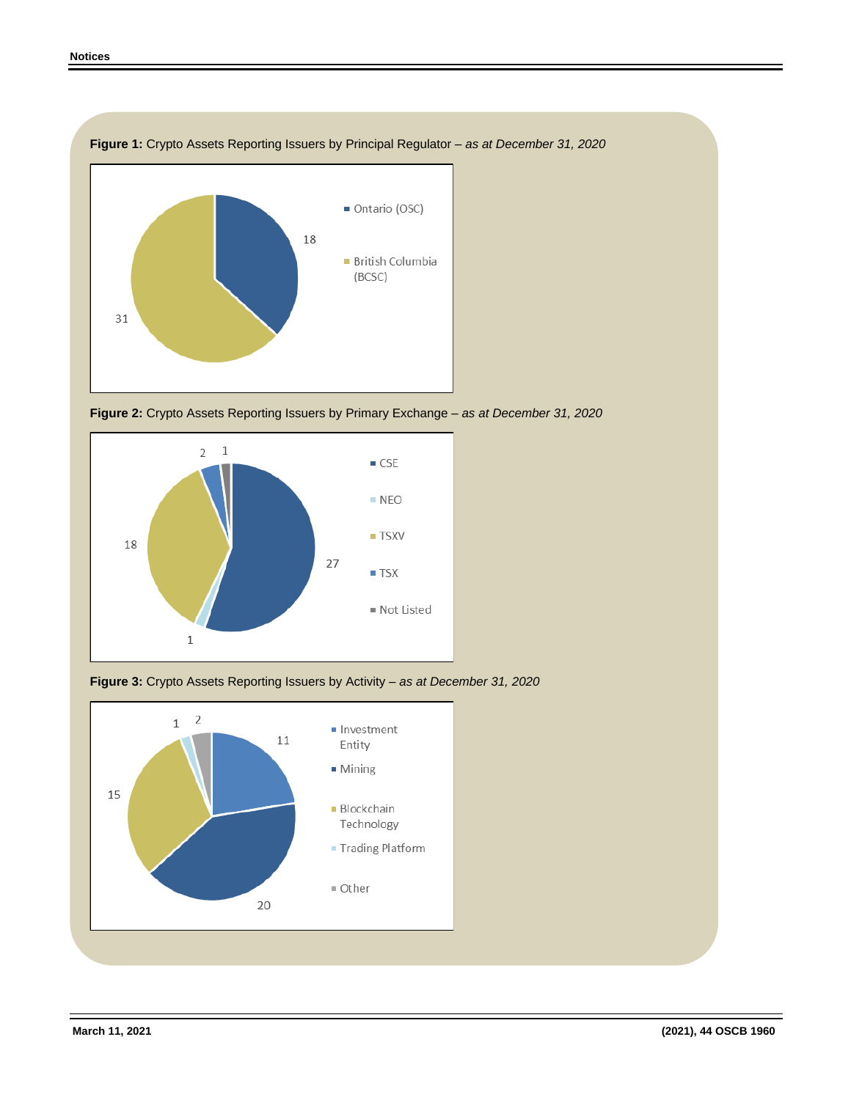

**Figure 1:** Crypto Assets Reporting Issuers by Principal Regulator *– as at December 31, 2020*







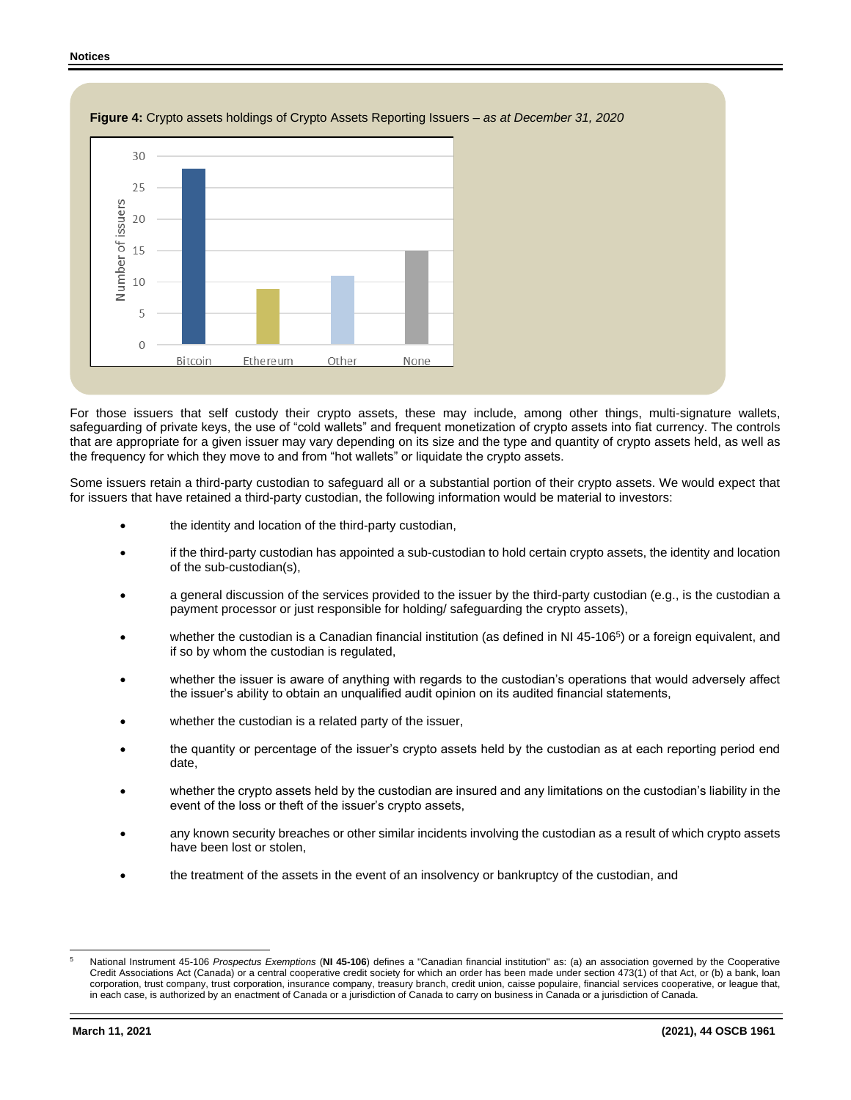#### **Notices**





For those issuers that self custody their crypto assets, these may include, among other things, multi-signature wallets, safeguarding of private keys, the use of "cold wallets" and frequent monetization of crypto assets into fiat currency. The controls that are appropriate for a given issuer may vary depending on its size and the type and quantity of crypto assets held, as well as the frequency for which they move to and from "hot wallets" or liquidate the crypto assets.

Some issuers retain a third-party custodian to safeguard all or a substantial portion of their crypto assets. We would expect that for issuers that have retained a third-party custodian, the following information would be material to investors:

- the identity and location of the third-party custodian,
- if the third-party custodian has appointed a sub-custodian to hold certain crypto assets, the identity and location of the sub-custodian(s),
- a general discussion of the services provided to the issuer by the third-party custodian (e.g., is the custodian a payment processor or just responsible for holding/ safeguarding the crypto assets),
- whether the custodian is a Canadian financial institution (as defined in NI 45-106<sup>5</sup>) or a foreign equivalent, and if so by whom the custodian is regulated,
- whether the issuer is aware of anything with regards to the custodian's operations that would adversely affect the issuer's ability to obtain an unqualified audit opinion on its audited financial statements,
- whether the custodian is a related party of the issuer,
- the quantity or percentage of the issuer's crypto assets held by the custodian as at each reporting period end date,
- whether the crypto assets held by the custodian are insured and any limitations on the custodian's liability in the event of the loss or theft of the issuer's crypto assets,
- any known security breaches or other similar incidents involving the custodian as a result of which crypto assets have been lost or stolen,
- the treatment of the assets in the event of an insolvency or bankruptcy of the custodian, and

National Instrument 45-106 Prospectus Exemptions (NI 45-106) defines a "Canadian financial institution" as: (a) an association governed by the Cooperative Credit Associations Act (Canada) or a central cooperative credit society for which an order has been made under section 473(1) of that Act, or (b) a bank, loan corporation, trust company, trust corporation, insurance company, treasury branch, credit union, caisse populaire, financial services cooperative, or league that, in each case, is authorized by an enactment of Canada or a jurisdiction of Canada to carry on business in Canada or a jurisdiction of Canada.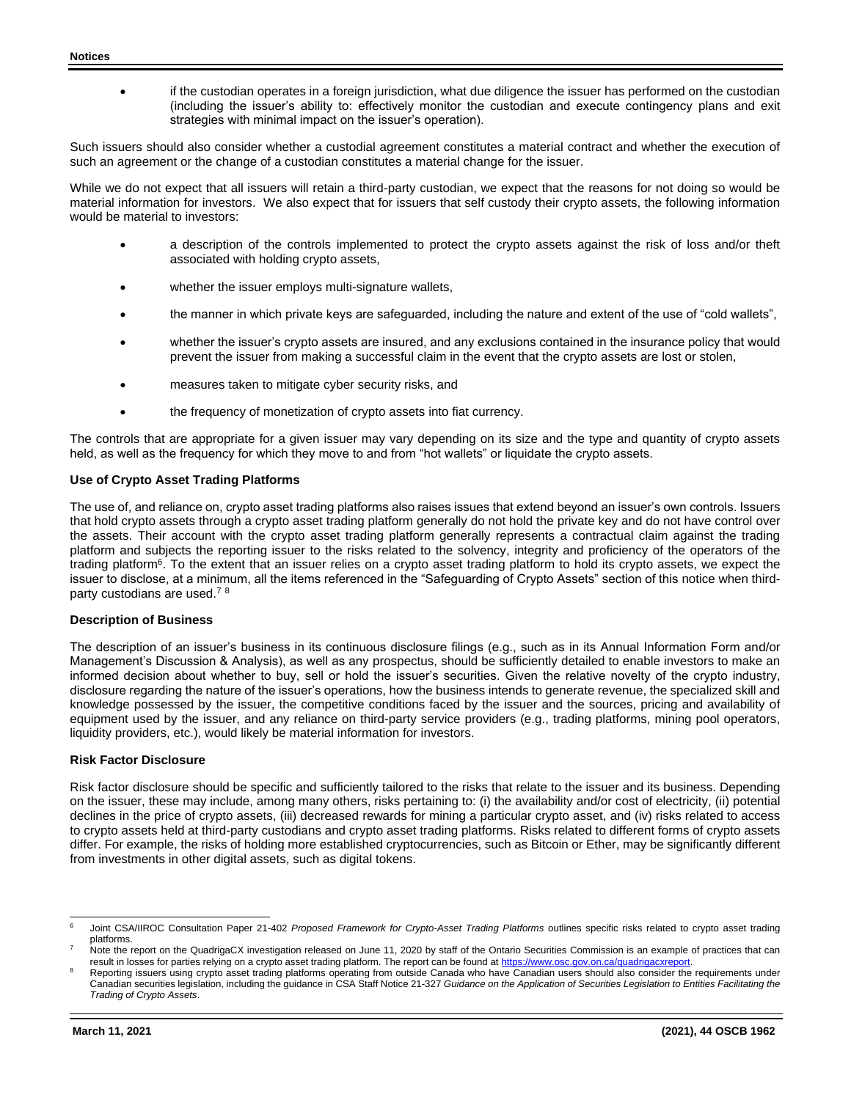if the custodian operates in a foreign jurisdiction, what due diligence the issuer has performed on the custodian (including the issuer's ability to: effectively monitor the custodian and execute contingency plans and exit strategies with minimal impact on the issuer's operation).

Such issuers should also consider whether a custodial agreement constitutes a material contract and whether the execution of such an agreement or the change of a custodian constitutes a material change for the issuer.

While we do not expect that all issuers will retain a third-party custodian, we expect that the reasons for not doing so would be material information for investors. We also expect that for issuers that self custody their crypto assets, the following information would be material to investors:

- a description of the controls implemented to protect the crypto assets against the risk of loss and/or theft associated with holding crypto assets,
- whether the issuer employs multi-signature wallets,
- the manner in which private keys are safeguarded, including the nature and extent of the use of "cold wallets",
- whether the issuer's crypto assets are insured, and any exclusions contained in the insurance policy that would prevent the issuer from making a successful claim in the event that the crypto assets are lost or stolen,
- measures taken to mitigate cyber security risks, and
- the frequency of monetization of crypto assets into fiat currency.

The controls that are appropriate for a given issuer may vary depending on its size and the type and quantity of crypto assets held, as well as the frequency for which they move to and from "hot wallets" or liquidate the crypto assets.

## **Use of Crypto Asset Trading Platforms**

The use of, and reliance on, crypto asset trading platforms also raises issues that extend beyond an issuer's own controls. Issuers that hold crypto assets through a crypto asset trading platform generally do not hold the private key and do not have control over the assets. Their account with the crypto asset trading platform generally represents a contractual claim against the trading platform and subjects the reporting issuer to the risks related to the solvency, integrity and proficiency of the operators of the trading platform<sup>6</sup>. To the extent that an issuer relies on a crypto asset trading platform to hold its crypto assets, we expect the issuer to disclose, at a minimum, all the items referenced in the "Safeguarding of Crypto Assets" section of this notice when thirdparty custodians are used.<sup>7</sup> <sup>8</sup>

### **Description of Business**

The description of an issuer's business in its continuous disclosure filings (e.g., such as in its Annual Information Form and/or Management's Discussion & Analysis), as well as any prospectus, should be sufficiently detailed to enable investors to make an informed decision about whether to buy, sell or hold the issuer's securities. Given the relative novelty of the crypto industry, disclosure regarding the nature of the issuer's operations, how the business intends to generate revenue, the specialized skill and knowledge possessed by the issuer, the competitive conditions faced by the issuer and the sources, pricing and availability of equipment used by the issuer, and any reliance on third-party service providers (e.g., trading platforms, mining pool operators, liquidity providers, etc.), would likely be material information for investors.

### **Risk Factor Disclosure**

Risk factor disclosure should be specific and sufficiently tailored to the risks that relate to the issuer and its business. Depending on the issuer, these may include, among many others, risks pertaining to: (i) the availability and/or cost of electricity, (ii) potential declines in the price of crypto assets, (iii) decreased rewards for mining a particular crypto asset, and (iv) risks related to access to crypto assets held at third-party custodians and crypto asset trading platforms. Risks related to different forms of crypto assets differ. For example, the risks of holding more established cryptocurrencies, such as Bitcoin or Ether, may be significantly different from investments in other digital assets, such as digital tokens.

<sup>&</sup>lt;sup>6</sup> Joint CSA/IIROC Consultation Paper 21-402 Proposed Framework for Crypto-Asset Trading Platforms outlines specific risks related to crypto asset trading platforms.

Note the report on the QuadrigaCX investigation released on June 11, 2020 by staff of the Ontario Securities Commission is an example of practices that can result in losses for parties relying on a crypto asset trading platform. The report can be found at https://www.osc.gov.on.ca/quadrigacxrepor

Reporting issuers using crypto asset trading platforms operating from outside Canada who have Canadian users should also consider the requirements under Canadian securities legislation, including the guidance in CSA Staff Notice 21-327 *Guidance on the Application of Securities Legislation to Entities Facilitating the Trading of Crypto Assets*.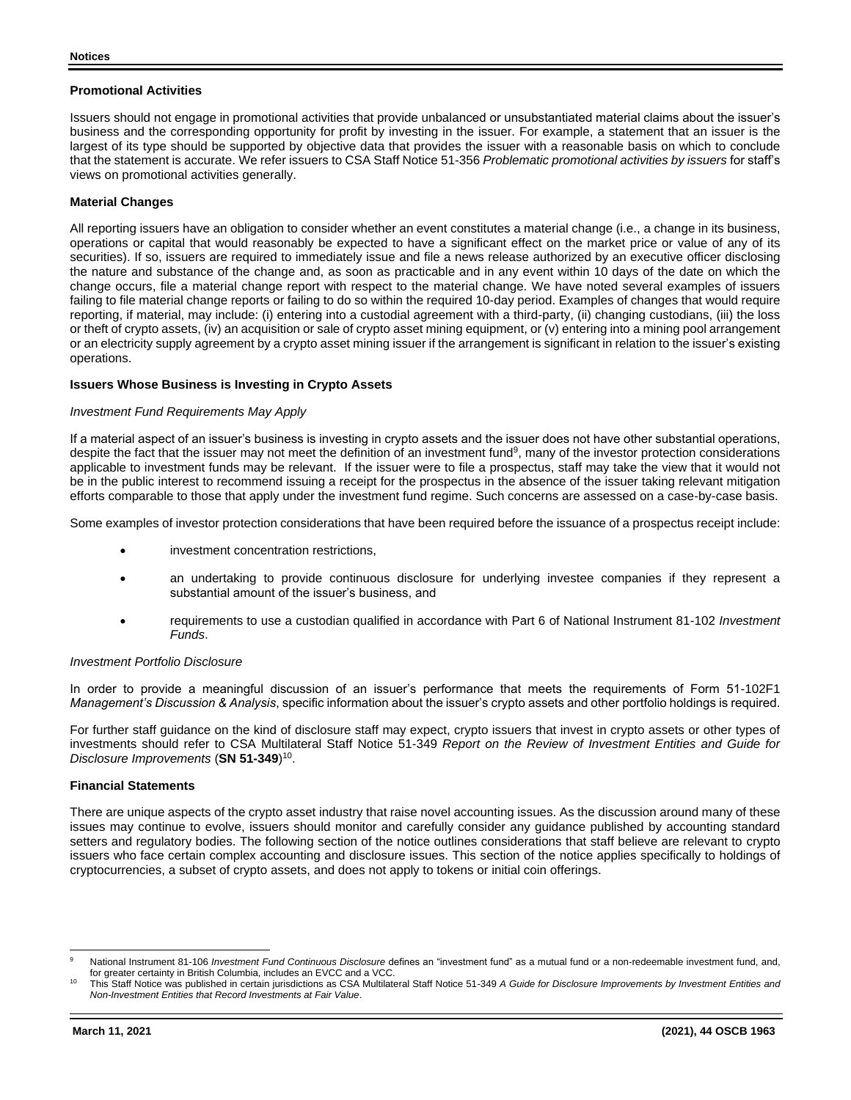### **Promotional Activities**

Issuers should not engage in promotional activities that provide unbalanced or unsubstantiated material claims about the issuer's business and the corresponding opportunity for profit by investing in the issuer. For example, a statement that an issuer is the largest of its type should be supported by objective data that provides the issuer with a reasonable basis on which to conclude that the statement is accurate. We refer issuers to CSA Staff Notice 51-356 *Problematic promotional activities by issuers* for staff's views on promotional activities generally.

### **Material Changes**

All reporting issuers have an obligation to consider whether an event constitutes a material change (i.e., a change in its business, operations or capital that would reasonably be expected to have a significant effect on the market price or value of any of its securities). If so, issuers are required to immediately issue and file a news release authorized by an executive officer disclosing the nature and substance of the change and, as soon as practicable and in any event within 10 days of the date on which the change occurs, file a material change report with respect to the material change. We have noted several examples of issuers failing to file material change reports or failing to do so within the required 10-day period. Examples of changes that would require reporting, if material, may include: (i) entering into a custodial agreement with a third-party, (ii) changing custodians, (iii) the loss or theft of crypto assets, (iv) an acquisition or sale of crypto asset mining equipment, or (v) entering into a mining pool arrangement or an electricity supply agreement by a crypto asset mining issuer if the arrangement is significant in relation to the issuer's existing operations.

### **Issuers Whose Business is Investing in Crypto Assets**

#### *Investment Fund Requirements May Apply*

If a material aspect of an issuer's business is investing in crypto assets and the issuer does not have other substantial operations, despite the fact that the issuer may not meet the definition of an investment fund<sup>9</sup>, many of the investor protection considerations applicable to investment funds may be relevant. If the issuer were to file a prospectus, staff may take the view that it would not be in the public interest to recommend issuing a receipt for the prospectus in the absence of the issuer taking relevant mitigation efforts comparable to those that apply under the investment fund regime. Such concerns are assessed on a case-by-case basis.

Some examples of investor protection considerations that have been required before the issuance of a prospectus receipt include:

- investment concentration restrictions,
- an undertaking to provide continuous disclosure for underlying investee companies if they represent a substantial amount of the issuer's business, and
- requirements to use a custodian qualified in accordance with Part 6 of National Instrument 81-102 *Investment Funds*.

#### *Investment Portfolio Disclosure*

In order to provide a meaningful discussion of an issuer's performance that meets the requirements of Form 51-102F1 *Management's Discussion & Analysis*, specific information about the issuer's crypto assets and other portfolio holdings is required.

For further staff guidance on the kind of disclosure staff may expect, crypto issuers that invest in crypto assets or other types of investments should refer to CSA Multilateral Staff Notice 51-349 *Report on the Review of Investment Entities and Guide for Disclosure Improvements* (**SN 51-349**) 10 .

#### **Financial Statements**

There are unique aspects of the crypto asset industry that raise novel accounting issues. As the discussion around many of these issues may continue to evolve, issuers should monitor and carefully consider any guidance published by accounting standard setters and regulatory bodies. The following section of the notice outlines considerations that staff believe are relevant to crypto issuers who face certain complex accounting and disclosure issues. This section of the notice applies specifically to holdings of cryptocurrencies, a subset of crypto assets, and does not apply to tokens or initial coin offerings.

National Instrument 81-106 *Investment Fund Continuous Disclosure* defines an "investment fund" as a mutual fund or a non-redeemable investment fund, and, for greater certainty in British Columbia, includes an EVCC and a VCC.

<sup>10</sup> This Staff Notice was published in certain jurisdictions as CSA Multilateral Staff Notice 51-349 *A Guide for Disclosure Improvements by Investment Entities and Non-Investment Entities that Record Investments at Fair Value*.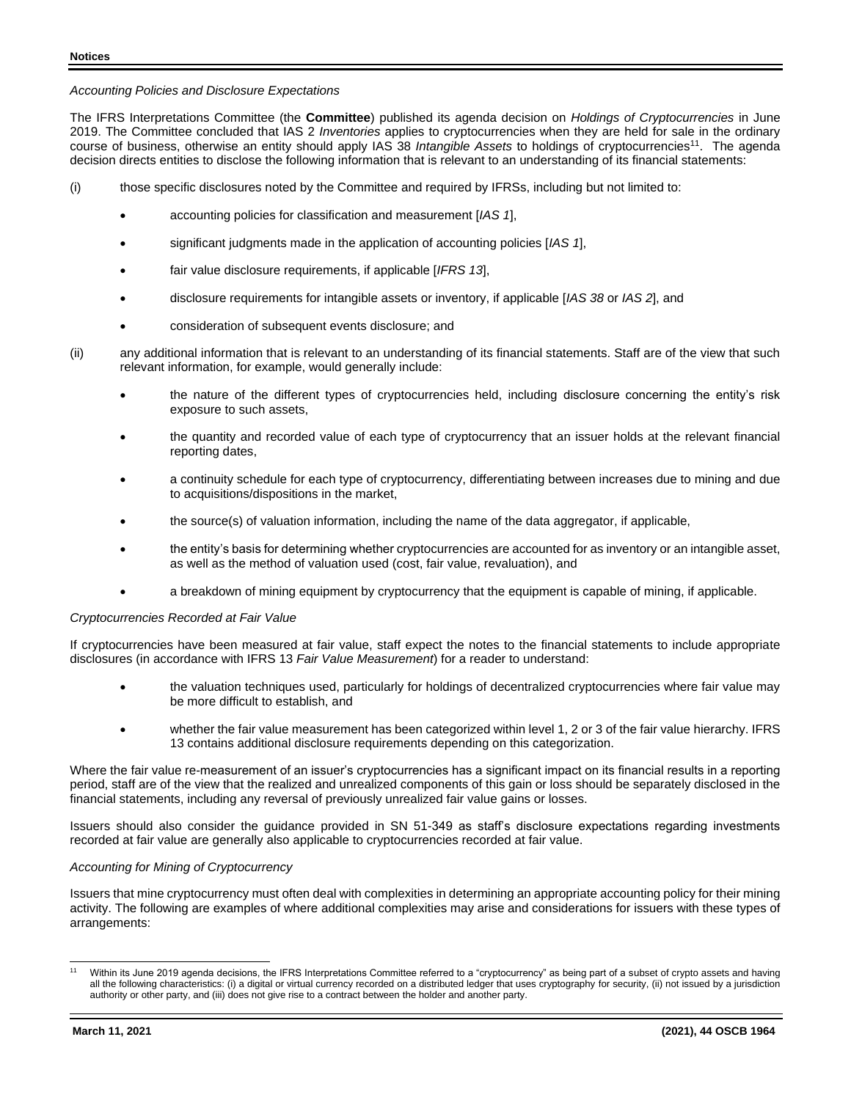### *Accounting Policies and Disclosure Expectations*

The IFRS Interpretations Committee (the **Committee**) published its agenda decision on *Holdings of Cryptocurrencies* in June 2019. The Committee concluded that IAS 2 *Inventories* applies to cryptocurrencies when they are held for sale in the ordinary course of business, otherwise an entity should apply IAS 38 Intangible Assets to holdings of cryptocurrencies<sup>11</sup>. The agenda decision directs entities to disclose the following information that is relevant to an understanding of its financial statements:

- (i) those specific disclosures noted by the Committee and required by IFRSs, including but not limited to:
	- accounting policies for classification and measurement [*IAS 1*],
	- significant judgments made in the application of accounting policies [*IAS 1*],
	- fair value disclosure requirements, if applicable [*IFRS 13*],
	- disclosure requirements for intangible assets or inventory, if applicable [*IAS 38* or *IAS 2*], and
	- consideration of subsequent events disclosure; and

(ii) any additional information that is relevant to an understanding of its financial statements. Staff are of the view that such relevant information, for example, would generally include:

- the nature of the different types of cryptocurrencies held, including disclosure concerning the entity's risk exposure to such assets,
- the quantity and recorded value of each type of cryptocurrency that an issuer holds at the relevant financial reporting dates,
- a continuity schedule for each type of cryptocurrency, differentiating between increases due to mining and due to acquisitions/dispositions in the market,
- the source(s) of valuation information, including the name of the data aggregator, if applicable,
- the entity's basis for determining whether cryptocurrencies are accounted for as inventory or an intangible asset, as well as the method of valuation used (cost, fair value, revaluation), and
- a breakdown of mining equipment by cryptocurrency that the equipment is capable of mining, if applicable.

### *Cryptocurrencies Recorded at Fair Value*

If cryptocurrencies have been measured at fair value, staff expect the notes to the financial statements to include appropriate disclosures (in accordance with IFRS 13 *Fair Value Measurement*) for a reader to understand:

- the valuation techniques used, particularly for holdings of decentralized cryptocurrencies where fair value may be more difficult to establish, and
- whether the fair value measurement has been categorized within level 1, 2 or 3 of the fair value hierarchy. IFRS 13 contains additional disclosure requirements depending on this categorization.

Where the fair value re-measurement of an issuer's cryptocurrencies has a significant impact on its financial results in a reporting period, staff are of the view that the realized and unrealized components of this gain or loss should be separately disclosed in the financial statements, including any reversal of previously unrealized fair value gains or losses.

Issuers should also consider the guidance provided in SN 51-349 as staff's disclosure expectations regarding investments recorded at fair value are generally also applicable to cryptocurrencies recorded at fair value.

### *Accounting for Mining of Cryptocurrency*

Issuers that mine cryptocurrency must often deal with complexities in determining an appropriate accounting policy for their mining activity. The following are examples of where additional complexities may arise and considerations for issuers with these types of arrangements:

<sup>&</sup>lt;sup>11</sup> Within its June 2019 agenda decisions, the IFRS Interpretations Committee referred to a "cryptocurrency" as being part of a subset of crypto assets and having all the following characteristics: (i) a digital or virtual currency recorded on a distributed ledger that uses cryptography for security, (ii) not issued by a jurisdiction authority or other party, and (iii) does not give rise to a contract between the holder and another party.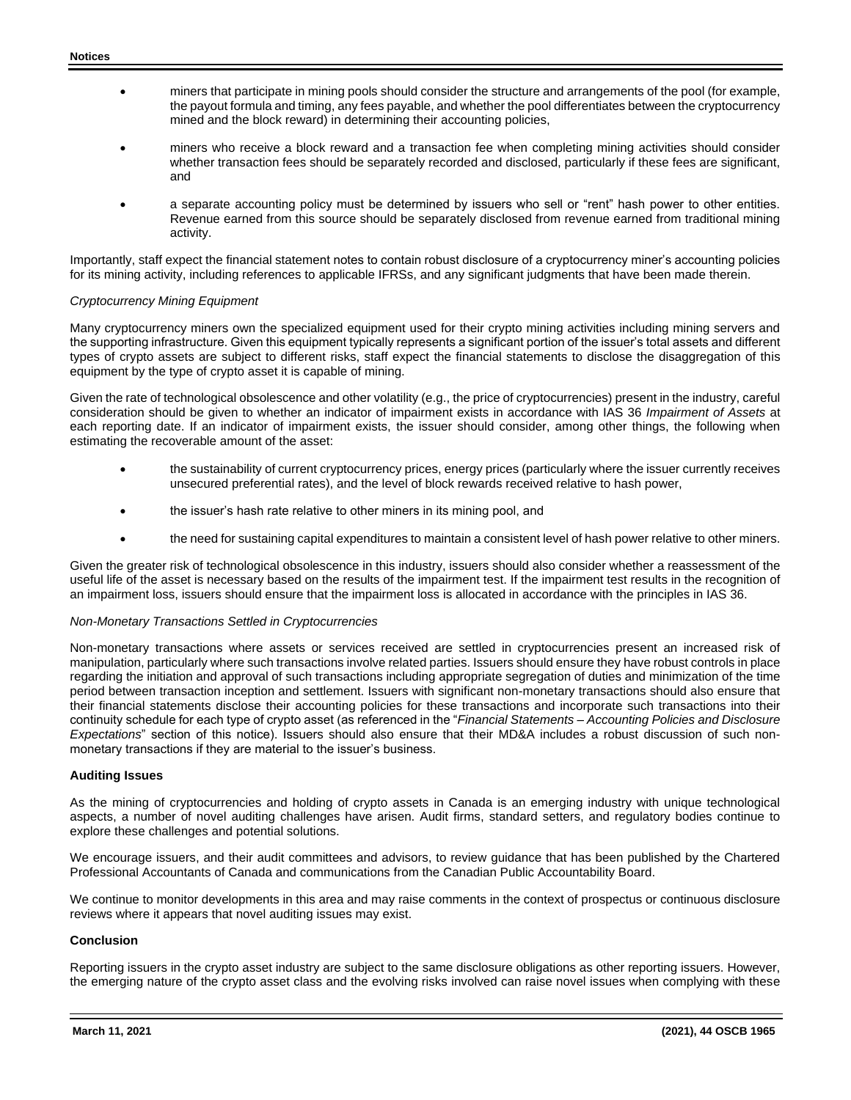- miners that participate in mining pools should consider the structure and arrangements of the pool (for example, the payout formula and timing, any fees payable, and whether the pool differentiates between the cryptocurrency mined and the block reward) in determining their accounting policies,
- miners who receive a block reward and a transaction fee when completing mining activities should consider whether transaction fees should be separately recorded and disclosed, particularly if these fees are significant, and
- a separate accounting policy must be determined by issuers who sell or "rent" hash power to other entities. Revenue earned from this source should be separately disclosed from revenue earned from traditional mining activity.

Importantly, staff expect the financial statement notes to contain robust disclosure of a cryptocurrency miner's accounting policies for its mining activity, including references to applicable IFRSs, and any significant judgments that have been made therein.

### *Cryptocurrency Mining Equipment*

Many cryptocurrency miners own the specialized equipment used for their crypto mining activities including mining servers and the supporting infrastructure. Given this equipment typically represents a significant portion of the issuer's total assets and different types of crypto assets are subject to different risks, staff expect the financial statements to disclose the disaggregation of this equipment by the type of crypto asset it is capable of mining.

Given the rate of technological obsolescence and other volatility (e.g., the price of cryptocurrencies) present in the industry, careful consideration should be given to whether an indicator of impairment exists in accordance with IAS 36 *Impairment of Assets* at each reporting date. If an indicator of impairment exists, the issuer should consider, among other things, the following when estimating the recoverable amount of the asset:

- the sustainability of current cryptocurrency prices, energy prices (particularly where the issuer currently receives unsecured preferential rates), and the level of block rewards received relative to hash power,
- the issuer's hash rate relative to other miners in its mining pool, and
- the need for sustaining capital expenditures to maintain a consistent level of hash power relative to other miners.

Given the greater risk of technological obsolescence in this industry, issuers should also consider whether a reassessment of the useful life of the asset is necessary based on the results of the impairment test. If the impairment test results in the recognition of an impairment loss, issuers should ensure that the impairment loss is allocated in accordance with the principles in IAS 36.

#### *Non-Monetary Transactions Settled in Cryptocurrencies*

Non-monetary transactions where assets or services received are settled in cryptocurrencies present an increased risk of manipulation, particularly where such transactions involve related parties. Issuers should ensure they have robust controls in place regarding the initiation and approval of such transactions including appropriate segregation of duties and minimization of the time period between transaction inception and settlement. Issuers with significant non-monetary transactions should also ensure that their financial statements disclose their accounting policies for these transactions and incorporate such transactions into their continuity schedule for each type of crypto asset (as referenced in the "*Financial Statements – Accounting Policies and Disclosure Expectations*" section of this notice). Issuers should also ensure that their MD&A includes a robust discussion of such nonmonetary transactions if they are material to the issuer's business.

#### **Auditing Issues**

As the mining of cryptocurrencies and holding of crypto assets in Canada is an emerging industry with unique technological aspects, a number of novel auditing challenges have arisen. Audit firms, standard setters, and regulatory bodies continue to explore these challenges and potential solutions.

We encourage issuers, and their audit committees and advisors, to review guidance that has been published by the Chartered Professional Accountants of Canada and communications from the Canadian Public Accountability Board.

We continue to monitor developments in this area and may raise comments in the context of prospectus or continuous disclosure reviews where it appears that novel auditing issues may exist.

#### **Conclusion**

Reporting issuers in the crypto asset industry are subject to the same disclosure obligations as other reporting issuers. However, the emerging nature of the crypto asset class and the evolving risks involved can raise novel issues when complying with these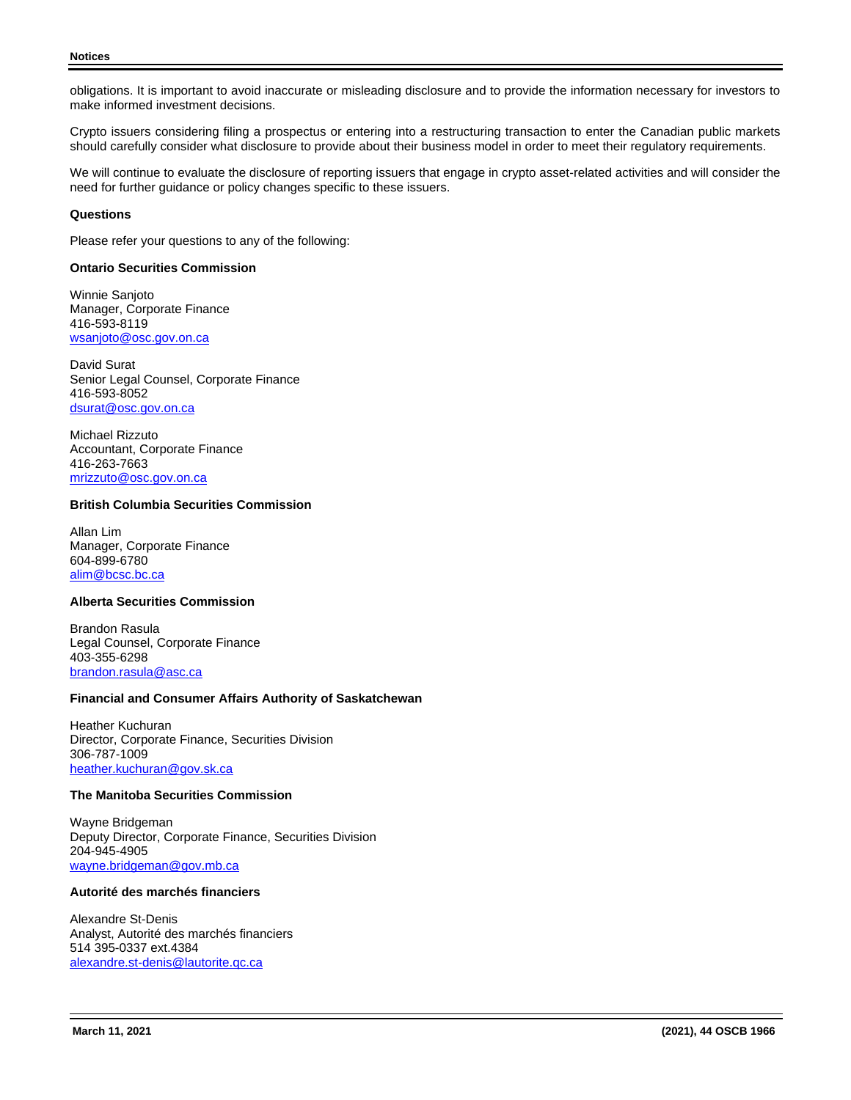obligations. It is important to avoid inaccurate or misleading disclosure and to provide the information necessary for investors to make informed investment decisions.

Crypto issuers considering filing a prospectus or entering into a restructuring transaction to enter the Canadian public markets should carefully consider what disclosure to provide about their business model in order to meet their regulatory requirements.

We will continue to evaluate the disclosure of reporting issuers that engage in crypto asset-related activities and will consider the need for further guidance or policy changes specific to these issuers.

## **Questions**

Please refer your questions to any of the following:

### **Ontario Securities Commission**

Winnie Sanjoto Manager, Corporate Finance 416-593-8119 [wsanjoto@osc.gov.on.ca](mailto:wsanjoto@osc.gov.on.ca)

David Surat Senior Legal Counsel, Corporate Finance 416-593-8052 [dsurat@osc.gov.on.ca](mailto:dsurat@osc.gov.on.ca)

Michael Rizzuto Accountant, Corporate Finance 416-263-7663 [mrizzuto@osc.gov.on.ca](mailto:mrizzuto@osc.gov.on.ca)

### **British Columbia Securities Commission**

Allan Lim Manager, Corporate Finance 604-899-6780 [alim@bcsc.bc.ca](mailto:alim@bcsc.bc.ca)

# **Alberta Securities Commission**

Brandon Rasula Legal Counsel, Corporate Finance 403-355-6298 [brandon.rasula@asc.ca](mailto:brandon.rasula@asc.ca)

### **Financial and Consumer Affairs Authority of Saskatchewan**

Heather Kuchuran Director, Corporate Finance, Securities Division 306-787-1009 [heather.kuchuran@gov.sk.ca](mailto:heather.kuchuran@gov.sk.ca)

#### **The Manitoba Securities Commission**

Wayne Bridgeman Deputy Director, Corporate Finance, Securities Division 204-945-4905 [wayne.bridgeman@gov.mb.ca](mailto:wayne.bridgeman@gov.mb.ca)

## **Autorité des marchés financiers**

Alexandre St-Denis Analyst, Autorité des marchés financiers 514 395-0337 ext.4384 [alexandre.st-denis@lautorite.qc.ca](mailto:alexandre.st-denis@lautorite.qc.ca)